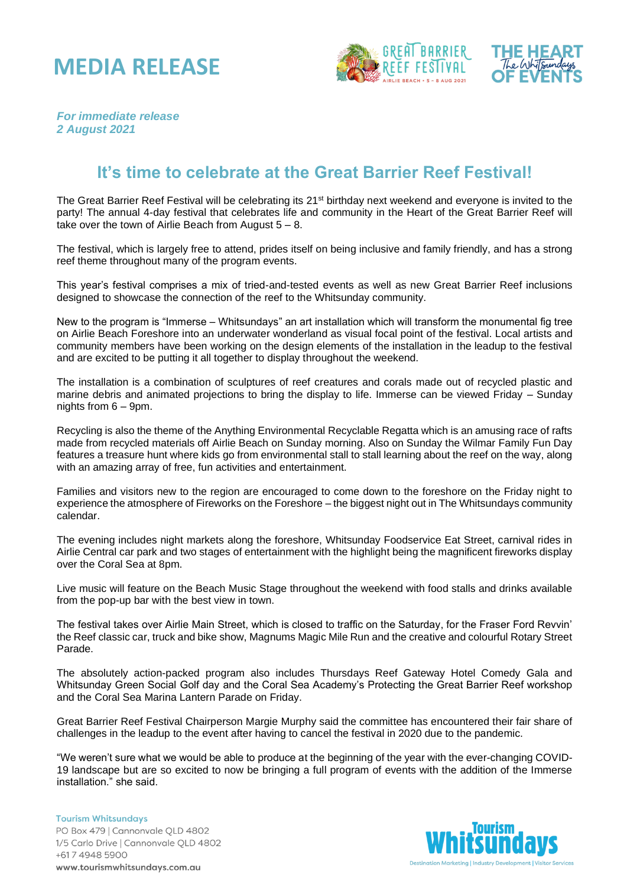## **MEDIA RELEASE**





*For immediate release 2 August 2021*

## **It's time to celebrate at the Great Barrier Reef Festival!**

The Great Barrier Reef Festival will be celebrating its 21<sup>st</sup> birthday next weekend and everyone is invited to the party! The annual 4-day festival that celebrates life and community in the Heart of the Great Barrier Reef will take over the town of Airlie Beach from August  $5 - 8$ .

The festival, which is largely free to attend, prides itself on being inclusive and family friendly, and has a strong reef theme throughout many of the program events.

This year's festival comprises a mix of tried-and-tested events as well as new Great Barrier Reef inclusions designed to showcase the connection of the reef to the Whitsunday community.

New to the program is "Immerse – Whitsundays" an art installation which will transform the monumental fig tree on Airlie Beach Foreshore into an underwater wonderland as visual focal point of the festival. Local artists and community members have been working on the design elements of the installation in the leadup to the festival and are excited to be putting it all together to display throughout the weekend.

The installation is a combination of sculptures of reef creatures and corals made out of recycled plastic and marine debris and animated projections to bring the display to life. Immerse can be viewed Friday – Sunday nights from 6 – 9pm.

Recycling is also the theme of the Anything Environmental Recyclable Regatta which is an amusing race of rafts made from recycled materials off Airlie Beach on Sunday morning. Also on Sunday the Wilmar Family Fun Day features a treasure hunt where kids go from environmental stall to stall learning about the reef on the way, along with an amazing array of free, fun activities and entertainment.

Families and visitors new to the region are encouraged to come down to the foreshore on the Friday night to experience the atmosphere of Fireworks on the Foreshore – the biggest night out in The Whitsundays community calendar.

The evening includes night markets along the foreshore, Whitsunday Foodservice Eat Street, carnival rides in Airlie Central car park and two stages of entertainment with the highlight being the magnificent fireworks display over the Coral Sea at 8pm.

Live music will feature on the Beach Music Stage throughout the weekend with food stalls and drinks available from the pop-up bar with the best view in town.

The festival takes over Airlie Main Street, which is closed to traffic on the Saturday, for the Fraser Ford Revvin' the Reef classic car, truck and bike show, Magnums Magic Mile Run and the creative and colourful Rotary Street Parade.

The absolutely action-packed program also includes Thursdays Reef Gateway Hotel Comedy Gala and Whitsunday Green Social Golf day and the Coral Sea Academy's Protecting the Great Barrier Reef workshop and the Coral Sea Marina Lantern Parade on Friday.

Great Barrier Reef Festival Chairperson Margie Murphy said the committee has encountered their fair share of challenges in the leadup to the event after having to cancel the festival in 2020 due to the pandemic.

"We weren't sure what we would be able to produce at the beginning of the year with the ever-changing COVID-19 landscape but are so excited to now be bringing a full program of events with the addition of the Immerse installation." she said.

**Tourism Whitsundays** PO Box 479 | Cannonvale QLD 4802 1/5 Carlo Drive | Cannonvale QLD 4802 +617 4948 5900 www.tourismwhitsundays.com.au